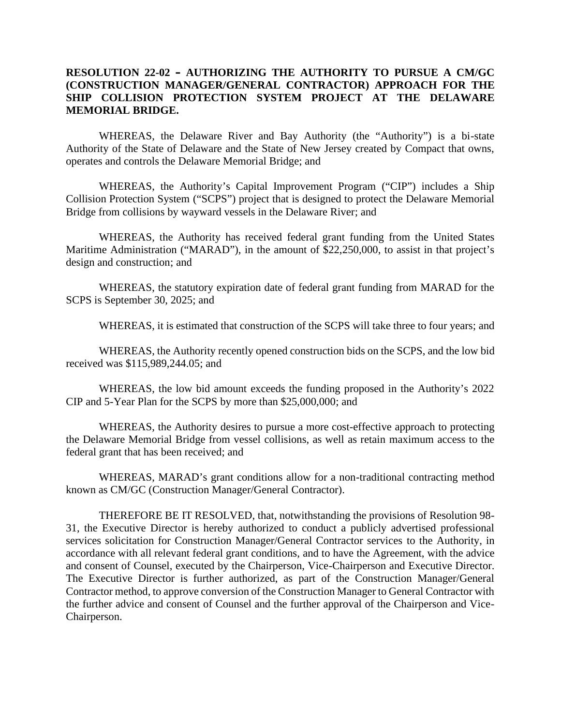## **RESOLUTION 22-02 – AUTHORIZING THE AUTHORITY TO PURSUE A CM/GC (CONSTRUCTION MANAGER/GENERAL CONTRACTOR) APPROACH FOR THE SHIP COLLISION PROTECTION SYSTEM PROJECT AT THE DELAWARE MEMORIAL BRIDGE.**

WHEREAS, the Delaware River and Bay Authority (the "Authority") is a bi-state Authority of the State of Delaware and the State of New Jersey created by Compact that owns, operates and controls the Delaware Memorial Bridge; and

WHEREAS, the Authority's Capital Improvement Program ("CIP") includes a Ship Collision Protection System ("SCPS") project that is designed to protect the Delaware Memorial Bridge from collisions by wayward vessels in the Delaware River; and

WHEREAS, the Authority has received federal grant funding from the United States Maritime Administration ("MARAD"), in the amount of \$22,250,000, to assist in that project's design and construction; and

WHEREAS, the statutory expiration date of federal grant funding from MARAD for the SCPS is September 30, 2025; and

WHEREAS, it is estimated that construction of the SCPS will take three to four years; and

WHEREAS, the Authority recently opened construction bids on the SCPS, and the low bid received was \$115,989,244.05; and

WHEREAS, the low bid amount exceeds the funding proposed in the Authority's 2022 CIP and 5-Year Plan for the SCPS by more than \$25,000,000; and

WHEREAS, the Authority desires to pursue a more cost-effective approach to protecting the Delaware Memorial Bridge from vessel collisions, as well as retain maximum access to the federal grant that has been received; and

WHEREAS, MARAD's grant conditions allow for a non-traditional contracting method known as CM/GC (Construction Manager/General Contractor).

THEREFORE BE IT RESOLVED, that, notwithstanding the provisions of Resolution 98- 31, the Executive Director is hereby authorized to conduct a publicly advertised professional services solicitation for Construction Manager/General Contractor services to the Authority, in accordance with all relevant federal grant conditions, and to have the Agreement, with the advice and consent of Counsel, executed by the Chairperson, Vice-Chairperson and Executive Director. The Executive Director is further authorized, as part of the Construction Manager/General Contractor method, to approve conversion of the Construction Manager to General Contractor with the further advice and consent of Counsel and the further approval of the Chairperson and Vice- Chairperson.